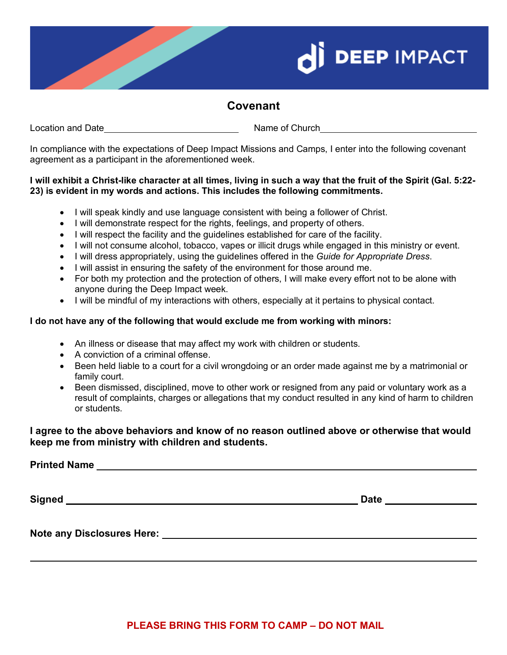



## **Covenant**

Location and Date <u>Name of Church Name of Church</u> Name of Church

In compliance with the expectations of Deep Impact Missions and Camps, I enter into the following covenant agreement as a participant in the aforementioned week.

#### **I will exhibit a Christ-like character at all times, living in such a way that the fruit of the Spirit (Gal. 5:22- 23) is evident in my words and actions. This includes the following commitments.**

- I will speak kindly and use language consistent with being a follower of Christ.
- I will demonstrate respect for the rights, feelings, and property of others.
- I will respect the facility and the guidelines established for care of the facility.
- I will not consume alcohol, tobacco, vapes or illicit drugs while engaged in this ministry or event.
- I will dress appropriately, using the guidelines offered in the *Guide for Appropriate Dress*.
- I will assist in ensuring the safety of the environment for those around me.
- For both my protection and the protection of others, I will make every effort not to be alone with anyone during the Deep Impact week.
- I will be mindful of my interactions with others, especially at it pertains to physical contact.

### **I do not have any of the following that would exclude me from working with minors:**

- An illness or disease that may affect my work with children or students.
- A conviction of a criminal offense.
- Been held liable to a court for a civil wrongdoing or an order made against me by a matrimonial or family court.
- Been dismissed, disciplined, move to other work or resigned from any paid or voluntary work as a result of complaints, charges or allegations that my conduct resulted in any kind of harm to children or students.

**I agree to the above behaviors and know of no reason outlined above or otherwise that would keep me from ministry with children and students.**

**Printed Name** 

**Signed Date** 

**Note any Disclosures Here:**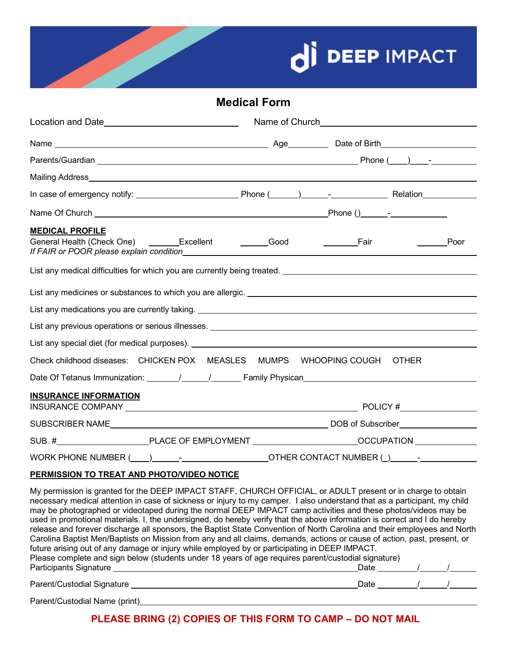



## **Medical Form**

| <b>MEDICAL PROFILE</b>                                                                                                                                                                                                                                                                                                                                            |                                                                                     | Poor<br>$\mathcal{L}^{\text{max}}$ and $\mathcal{L}^{\text{max}}$ |  |
|-------------------------------------------------------------------------------------------------------------------------------------------------------------------------------------------------------------------------------------------------------------------------------------------------------------------------------------------------------------------|-------------------------------------------------------------------------------------|-------------------------------------------------------------------|--|
|                                                                                                                                                                                                                                                                                                                                                                   |                                                                                     |                                                                   |  |
|                                                                                                                                                                                                                                                                                                                                                                   |                                                                                     |                                                                   |  |
| List any medications you are currently taking. Letter and the control of the control of the control of the control of the control of the control of the control of the control of the control of the control of the control of                                                                                                                                    |                                                                                     |                                                                   |  |
|                                                                                                                                                                                                                                                                                                                                                                   |                                                                                     |                                                                   |  |
|                                                                                                                                                                                                                                                                                                                                                                   |                                                                                     |                                                                   |  |
| Check childhood diseases: CHICKEN POX MEASLES MUMPS WHOOPING COUGH OTHER<br>Date Of Tetanus Immunization: \[\squire{\infty\infty\infty\infty\infty\infty\infty\infty\infty\infty\infty\infty\infty\infty\infty\infty\infty\infty\infty\infty\infty\infty\infty\infty\infty\infty\infty\infty\infty\infty\i                                                        |                                                                                     |                                                                   |  |
|                                                                                                                                                                                                                                                                                                                                                                   |                                                                                     |                                                                   |  |
| <b>INSURANCE INFORMATION</b>                                                                                                                                                                                                                                                                                                                                      |                                                                                     |                                                                   |  |
|                                                                                                                                                                                                                                                                                                                                                                   |                                                                                     |                                                                   |  |
|                                                                                                                                                                                                                                                                                                                                                                   |                                                                                     |                                                                   |  |
|                                                                                                                                                                                                                                                                                                                                                                   | WORK PHONE NUMBER (Comparently Comparently Comparently CONTACT NUMBER (2) Processes |                                                                   |  |
| PERMISSION TO TREAT AND PHOTO/VIDEO NOTICE                                                                                                                                                                                                                                                                                                                        |                                                                                     |                                                                   |  |
| My permission is granted for the DEEP IMPACT STAFF, CHURCH OFFICIAL, or ADULT present or in charge to obtain<br>necessary medical attention in case of sickness or injury to my camper. I also understand that as a participant, my child<br>required to probabilities to considerate the property of DEED IMDACT comparabilities and these plates bidess ment be |                                                                                     |                                                                   |  |

may be photographed or videotaped during the normal DEEP IMPACT camp activities and these photos/videos may be used in promotional materials. I, the undersigned, do hereby verify that the above information is correct and I do hereby release and forever discharge all sponsors, the Baptist State Convention of North Carolina and their employees and North Carolina Baptist Men/Baptists on Mission from any and all claims, demands, actions or cause of action, past, present, or future arising out of any damage or injury while employed by or participating in DEEP IMPACT. Please complete and sign below (students under 18 years of age requires parent/custodial signature) Participants Signature **Material Contract of the Contract of Contract Contract Oriental Contract Oriental Contract Oriental Contract Oriental Contract Oriental Contract Oriental Contract Oriental Contract Oriental Contract** Parent/Custodial Signature Date / /

Parent/Custodial Name (print)

**PLEASE BRING (2) COPIES OF THIS FORM TO CAMP – DO NOT MAIL**